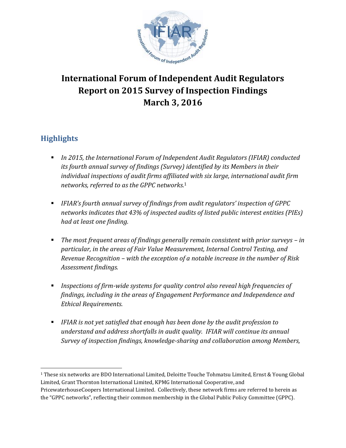

# **International Forum of Independent Audit Regulators Report on 2015 Survey of Inspection Findings March 3, 2016**

## **Highlights**

 $\overline{\phantom{a}}$ 

- *In 2015, the International Forum of Independent Audit Regulators (IFIAR) conducted its fourth annual survey of findings (Survey) identified by its Members in their individual inspections of audit firms affiliated with six large, international audit firm networks, referred to as the GPPC networks.* 1
- *IFIAR's fourth annual survey of findings from audit regulators' inspection of GPPC networks indicates that 43% of inspected audits of listed public interest entities (PIEs) had at least one finding.*
- The most frequent areas of findings generally remain consistent with prior surveys in *particular, in the areas of Fair Value Measurement, Internal Control Testing, and Revenue Recognition – with the exception of a notable increase in the number of Risk Assessment findings.*
- *Inspections of firm-wide systems for quality control also reveal high frequencies of findings, including in the areas of Engagement Performance and Independence and Ethical Requirements.*
- *IFIAR is not yet satisfied that enough has been done by the audit profession to understand and address shortfalls in audit quality. IFIAR will continue its annual Survey of inspection findings, knowledge-sharing and collaboration among Members,*

<sup>1</sup> These six networks are BDO International Limited, Deloitte Touche Tohmatsu Limited, Ernst & Young Global Limited, Grant Thornton International Limited, KPMG International Cooperative, and PricewaterhouseCoopers International Limited. Collectively, these network firms are referred to herein as the "GPPC networks", reflecting their common membership in the Global Public Policy Committee (GPPC).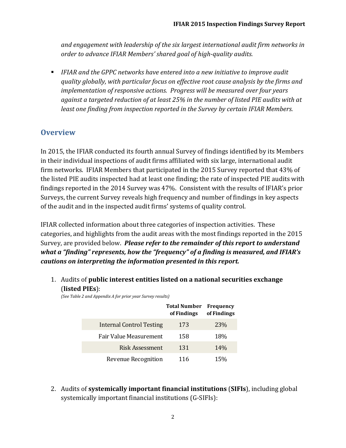*and engagement with leadership of the six largest international audit firm networks in order to advance IFIAR Members' shared goal of high-quality audits.*

 *IFIAR and the GPPC networks have entered into a new initiative to improve audit quality globally, with particular focus on effective root cause analysis by the firms and implementation of responsive actions. Progress will be measured over four years against a targeted reduction of at least 25% in the number of listed PIE audits with at least one finding from inspection reported in the Survey by certain IFIAR Members.* 

## **Overview**

In 2015, the IFIAR conducted its fourth annual Survey of findings identified by its Members in their individual inspections of audit firms affiliated with six large, international audit firm networks. IFIAR Members that participated in the 2015 Survey reported that 43% of the listed PIE audits inspected had at least one finding; the rate of inspected PIE audits with findings reported in the 2014 Survey was 47%. Consistent with the results of IFIAR's prior Surveys, the current Survey reveals high frequency and number of findings in key aspects of the audit and in the inspected audit firms' systems of quality control.

IFIAR collected information about three categories of inspection activities. These categories, and highlights from the audit areas with the most findings reported in the 2015 Survey, are provided below. *Please refer to the remainder of this report to understand what a "finding" represents, how the "frequency" of a finding is measured, and IFIAR's cautions on interpreting the information presented in this report.* 

1. Audits of **public interest entities listed on a national securities exchange** (**listed PIEs**):

*(See Table 2 and Appendix A for prior year Survey results)*

|                                 | <b>Total Number</b><br>of Findings | <b>Frequency</b><br>of Findings |
|---------------------------------|------------------------------------|---------------------------------|
| <b>Internal Control Testing</b> | 173                                | 23\%                            |
| Fair Value Measurement          | 158                                | <b>18%</b>                      |
| Risk Assessment                 | 131                                | 14%                             |
| Revenue Recognition             | 116                                | <b>15%</b>                      |

2. Audits of **systemically important financial institutions** (**SIFIs**), including global systemically important financial institutions (G-SIFIs):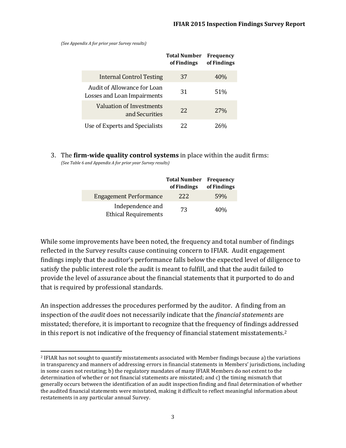*(See Appendix A for prior year Survey results)*

l

|                                                            | <b>Total Number</b><br>of Findings | <b>Frequency</b><br>of Findings |
|------------------------------------------------------------|------------------------------------|---------------------------------|
| <b>Internal Control Testing</b>                            | 37                                 | 40%                             |
| Audit of Allowance for Loan<br>Losses and Loan Impairments | 31                                 | 51%                             |
| Valuation of Investments<br>and Securities                 | 22                                 | 27%                             |
| Use of Experts and Specialists                             | 22                                 |                                 |

3. The **firm-wide quality control systems** in place within the audit firms: *(See Table 6 and Appendix A for prior year Survey results)*

|                                                 | <b>Total Number</b> Frequency<br>of Findings | of Findings |
|-------------------------------------------------|----------------------------------------------|-------------|
| <b>Engagement Performance</b>                   | 222                                          | 59%         |
| Independence and<br><b>Ethical Requirements</b> | 73                                           | 40%         |

While some improvements have been noted, the frequency and total number of findings reflected in the Survey results cause continuing concern to IFIAR. Audit engagement findings imply that the auditor's performance falls below the expected level of diligence to satisfy the public interest role the audit is meant to fulfill, and that the audit failed to provide the level of assurance about the financial statements that it purported to do and that is required by professional standards.

An inspection addresses the procedures performed by the auditor. A finding from an inspection of the *audit* does not necessarily indicate that the *financial statements* are misstated; therefore, it is important to recognize that the frequency of findings addressed in this report is not indicative of the frequency of financial statement misstatements. 2

<sup>2</sup> IFIAR has not sought to quantify misstatements associated with Member findings because a) the variations in transparency and manners of addressing errors in financial statements in Members' jurisdictions, including in some cases not restating; b) the regulatory mandates of many IFIAR Members do not extent to the determination of whether or not financial statements are misstated; and c) the timing mismatch that generally occurs between the identification of an audit inspection finding and final determination of whether the audited financial statements were misstated, making it difficult to reflect meaningful information about restatements in any particular annual Survey.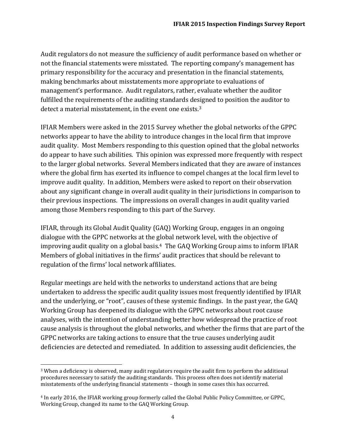Audit regulators do not measure the sufficiency of audit performance based on whether or not the financial statements were misstated. The reporting company's management has primary responsibility for the accuracy and presentation in the financial statements, making benchmarks about misstatements more appropriate to evaluations of management's performance. Audit regulators, rather, evaluate whether the auditor fulfilled the requirements of the auditing standards designed to position the auditor to detect a material misstatement, in the event one exists.<sup>3</sup>

IFIAR Members were asked in the 2015 Survey whether the global networks of the GPPC networks appear to have the ability to introduce changes in the local firm that improve audit quality. Most Members responding to this question opined that the global networks do appear to have such abilities. This opinion was expressed more frequently with respect to the larger global networks. Several Members indicated that they are aware of instances where the global firm has exerted its influence to compel changes at the local firm level to improve audit quality. In addition, Members were asked to report on their observation about any significant change in overall audit quality in their jurisdictions in comparison to their previous inspections. The impressions on overall changes in audit quality varied among those Members responding to this part of the Survey.

IFIAR, through its Global Audit Quality (GAQ) Working Group, engages in an ongoing dialogue with the GPPC networks at the global network level, with the objective of improving audit quality on a global basis.4 The GAQ Working Group aims to inform IFIAR Members of global initiatives in the firms' audit practices that should be relevant to regulation of the firms' local network affiliates.

Regular meetings are held with the networks to understand actions that are being undertaken to address the specific audit quality issues most frequently identified by IFIAR and the underlying, or "root", causes of these systemic findings. In the past year, the GAQ Working Group has deepened its dialogue with the GPPC networks about root cause analyses, with the intention of understanding better how widespread the practice of root cause analysis is throughout the global networks, and whether the firms that are part of the GPPC networks are taking actions to ensure that the true causes underlying audit deficiencies are detected and remediated. In addition to assessing audit deficiencies, the

 $\overline{\phantom{a}}$ 

<sup>3</sup> When a deficiency is observed, many audit regulators require the audit firm to perform the additional procedures necessary to satisfy the auditing standards. This process often does not identify material misstatements of the underlying financial statements – though in some cases this has occurred.

<sup>4</sup> In early 2016, the IFIAR working group formerly called the Global Public Policy Committee, or GPPC, Working Group, changed its name to the GAQ Working Group.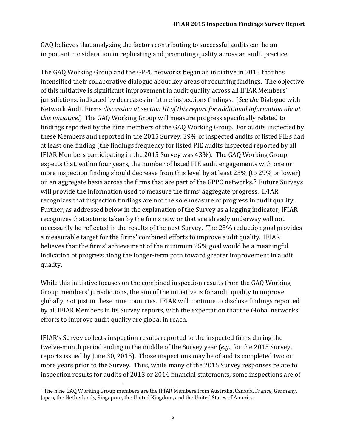GAQ believes that analyzing the factors contributing to successful audits can be an important consideration in replicating and promoting quality across an audit practice.

The GAQ Working Group and the GPPC networks began an initiative in 2015 that has intensified their collaborative dialogue about key areas of recurring findings. The objective of this initiative is significant improvement in audit quality across all IFIAR Members' jurisdictions, indicated by decreases in future inspections findings. (*See the* Dialogue with Network Audit Firms *discussion at section III of this report for additional information about this initiative.*) The GAQ Working Group will measure progress specifically related to findings reported by the nine members of the GAQ Working Group. For audits inspected by these Members and reported in the 2015 Survey, 39% of inspected audits of listed PIEs had at least one finding (the findings frequency for listed PIE audits inspected reported by all IFIAR Members participating in the 2015 Survey was 43%). The GAQ Working Group expects that, within four years, the number of listed PIE audit engagements with one or more inspection finding should decrease from this level by at least 25% (to 29% or lower) on an aggregate basis across the firms that are part of the GPPC networks. <sup>5</sup> Future Surveys will provide the information used to measure the firms' aggregate progress. IFIAR recognizes that inspection findings are not the sole measure of progress in audit quality. Further, as addressed below in the explanation of the Survey as a lagging indicator, IFIAR recognizes that actions taken by the firms now or that are already underway will not necessarily be reflected in the results of the next Survey. The 25% reduction goal provides a measurable target for the firms' combined efforts to improve audit quality. IFIAR believes that the firms' achievement of the minimum 25% goal would be a meaningful indication of progress along the longer-term path toward greater improvement in audit quality.

While this initiative focuses on the combined inspection results from the GAQ Working Group members' jurisdictions, the aim of the initiative is for audit quality to improve globally, not just in these nine countries. IFIAR will continue to disclose findings reported by all IFIAR Members in its Survey reports, with the expectation that the Global networks' efforts to improve audit quality are global in reach.

IFIAR's Survey collects inspection results reported to the inspected firms during the twelve-month period ending in the middle of the Survey year (*e.g.*, for the 2015 Survey, reports issued by June 30, 2015). Those inspections may be of audits completed two or more years prior to the Survey. Thus, while many of the 2015 Survey responses relate to inspection results for audits of 2013 or 2014 financial statements, some inspections are of

 $\overline{\phantom{a}}$ 

<sup>5</sup> The nine GAQ Working Group members are the IFIAR Members from Australia, Canada, France, Germany, Japan, the Netherlands, Singapore, the United Kingdom, and the United States of America.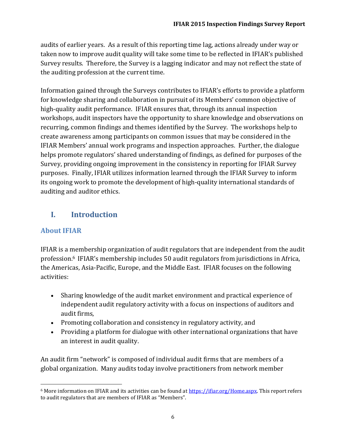audits of earlier years. As a result of this reporting time lag, actions already under way or taken now to improve audit quality will take some time to be reflected in IFIAR's published Survey results. Therefore, the Survey is a lagging indicator and may not reflect the state of the auditing profession at the current time.

Information gained through the Surveys contributes to IFIAR's efforts to provide a platform for knowledge sharing and collaboration in pursuit of its Members' common objective of high-quality audit performance. IFIAR ensures that, through its annual inspection workshops, audit inspectors have the opportunity to share knowledge and observations on recurring, common findings and themes identified by the Survey. The workshops help to create awareness among participants on common issues that may be considered in the IFIAR Members' annual work programs and inspection approaches. Further, the dialogue helps promote regulators' shared understanding of findings, as defined for purposes of the Survey, providing ongoing improvement in the consistency in reporting for IFIAR Survey purposes. Finally, IFIAR utilizes information learned through the IFIAR Survey to inform its ongoing work to promote the development of high-quality international standards of auditing and auditor ethics.

## **I. Introduction**

## **About IFIAR**

IFIAR is a membership organization of audit regulators that are independent from the audit profession.<sup>6</sup> IFIAR's membership includes 50 audit regulators from jurisdictions in Africa, the Americas, Asia-Pacific, Europe, and the Middle East. IFIAR focuses on the following activities:

- Sharing knowledge of the audit market environment and practical experience of independent audit regulatory activity with a focus on inspections of auditors and audit firms,
- Promoting collaboration and consistency in regulatory activity, and
- Providing a platform for dialogue with other international organizations that have an interest in audit quality.

An audit firm "network" is composed of individual audit firms that are members of a global organization. Many audits today involve practitioners from network member

 $\overline{\phantom{a}}$ <sup>6</sup> More information on IFIAR and its activities can be found at [https://ifiar.org/Home.aspx.](https://ifiar.org/Home.aspx) This report refers to audit regulators that are members of IFIAR as "Members".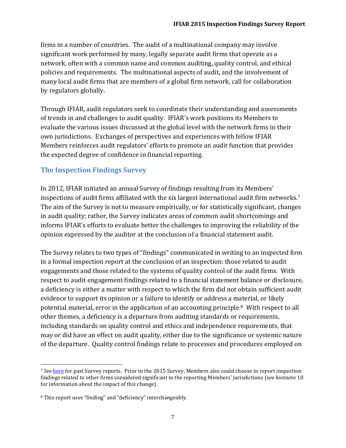firms in a number of countries. The audit of a multinational company may involve significant work performed by many, legally separate audit firms that operate as a network, often with a common name and common auditing, quality control, and ethical policies and requirements. The multinational aspects of audit, and the involvement of many local audit firms that are members of a global firm network, call for collaboration by regulators globally.

Through IFIAR, audit regulators seek to coordinate their understanding and assessments of trends in and challenges to audit quality. IFIAR's work positions its Members to evaluate the various issues discussed at the global level with the network firms in their own jurisdictions. Exchanges of perspectives and experiences with fellow IFIAR Members reinforces audit regulators' efforts to promote an audit function that provides the expected degree of confidence in financial reporting.

### **The Inspection Findings Survey**

In 2012, IFIAR initiated an annual Survey of findings resulting from its Members' inspections of audit firms affiliated with the six largest international audit firm networks.<sup>7</sup> The aim of the Survey is not to measure empirically, or for statistically significant, changes in audit quality; rather, the Survey indicates areas of common audit shortcomings and informs IFIAR's efforts to evaluate better the challenges to improving the reliability of the opinion expressed by the auditor at the conclusion of a financial statement audit.

The Survey relates to two types of "findings" communicated in writing to an inspected firm in a formal inspection report at the conclusion of an inspection: those related to audit engagements and those related to the systems of quality control of the audit firms. With respect to audit engagement findings related to a financial statement balance or disclosure, a deficiency is either a matter with respect to which the firm did not obtain sufficient audit evidence to support its opinion or a failure to identify or address a material, or likely potential material, error in the application of an accounting principle.8 With respect to all other themes, a deficiency is a departure from auditing standards or requirements, including standards on quality control and ethics and independence requirements, that may or did have an effect on audit quality, either due to the significance or systemic nature of the departure. Quality control findings relate to processes and procedures employed on

 $\overline{\phantom{a}}$ <sup>7</sup> *See* [here](https://ifiar.org/IFIAR-Global-Survey-of-Inspection-Findings.aspx) for past Survey reports. Prior to the 2015 Survey, Members also could choose to report inspection findings related to other firms considered significant in the reporting Members' jurisdictions (s*ee* footnote 10 for information about the impact of this change).

<sup>8</sup> This report uses "finding" and "deficiency" interchangeably.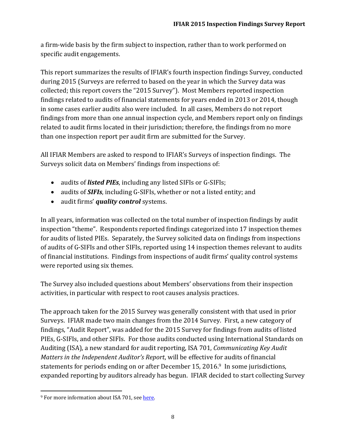a firm-wide basis by the firm subject to inspection, rather than to work performed on specific audit engagements.

This report summarizes the results of IFIAR's fourth inspection findings Survey, conducted during 2015 (Surveys are referred to based on the year in which the Survey data was collected; this report covers the "2015 Survey"). Most Members reported inspection findings related to audits of financial statements for years ended in 2013 or 2014, though in some cases earlier audits also were included. In all cases, Members do not report findings from more than one annual inspection cycle, and Members report only on findings related to audit firms located in their jurisdiction; therefore, the findings from no more than one inspection report per audit firm are submitted for the Survey.

All IFIAR Members are asked to respond to IFIAR's Surveys of inspection findings. The Surveys solicit data on Members' findings from inspections of:

- audits of *listed PIEs*, including any listed SIFIs or G-SIFIs;
- audits of *SIFIs*, including G-SIFIs, whether or not a listed entity; and
- audit firms' *quality control* systems.

In all years, information was collected on the total number of inspection findings by audit inspection "theme". Respondents reported findings categorized into 17 inspection themes for audits of listed PIEs. Separately, the Survey solicited data on findings from inspections of audits of G-SIFIs and other SIFIs, reported using 14 inspection themes relevant to audits of financial institutions. Findings from inspections of audit firms' quality control systems were reported using six themes.

The Survey also included questions about Members' observations from their inspection activities, in particular with respect to root causes analysis practices.

The approach taken for the 2015 Survey was generally consistent with that used in prior Surveys. IFIAR made two main changes from the 2014 Survey. First, a new category of findings, "Audit Report", was added for the 2015 Survey for findings from audits of listed PIEs, G-SIFIs, and other SIFIs. For those audits conducted using International Standards on Auditing (ISA), a new standard for audit reporting, ISA 701, *Communicating Key Audit Matters in the Independent Auditor's Report*, will be effective for audits of financial statements for periods ending on or after December 15, 2016. <sup>9</sup> In some jurisdictions, expanded reporting by auditors already has begun. IFIAR decided to start collecting Survey

 $\overline{\phantom{a}}$ <sup>9</sup> For more information about ISA 701, see here.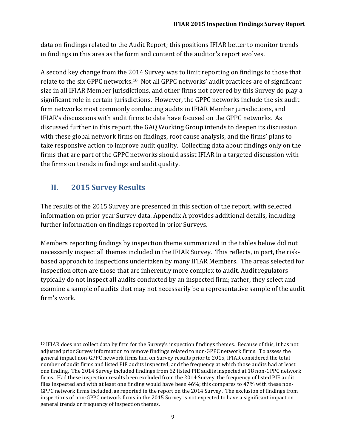data on findings related to the Audit Report; this positions IFIAR better to monitor trends in findings in this area as the form and content of the auditor's report evolves.

A second key change from the 2014 Survey was to limit reporting on findings to those that relate to the six GPPC networks.<sup>10</sup> Not all GPPC networks' audit practices are of significant size in all IFIAR Member jurisdictions, and other firms not covered by this Survey do play a significant role in certain jurisdictions. However, the GPPC networks include the six audit firm networks most commonly conducting audits in IFIAR Member jurisdictions, and IFIAR's discussions with audit firms to date have focused on the GPPC networks. As discussed further in this report, the GAQ Working Group intends to deepen its discussion with these global network firms on findings, root cause analysis, and the firms' plans to take responsive action to improve audit quality. Collecting data about findings only on the firms that are part of the GPPC networks should assist IFIAR in a targeted discussion with the firms on trends in findings and audit quality.

## **II. 2015 Survey Results**

 $\overline{\phantom{a}}$ 

The results of the 2015 Survey are presented in this section of the report, with selected information on prior year Survey data. Appendix A provides additional details, including further information on findings reported in prior Surveys.

Members reporting findings by inspection theme summarized in the tables below did not necessarily inspect all themes included in the IFIAR Survey. This reflects, in part, the riskbased approach to inspections undertaken by many IFIAR Members. The areas selected for inspection often are those that are inherently more complex to audit. Audit regulators typically do not inspect all audits conducted by an inspected firm; rather, they select and examine a sample of audits that may not necessarily be a representative sample of the audit firm's work.

<sup>10</sup> IFIAR does not collect data by firm for the Survey's inspection findings themes. Because of this, it has not adjusted prior Survey information to remove findings related to non-GPPC network firms. To assess the general impact non-GPPC network firms had on Survey results prior to 2015, IFIAR considered the total number of audit firms and listed PIE audits inspected, and the frequency at which those audits had at least one finding. The 2014 Survey included findings from 62 listed PIE audits inspected at 18 non-GPPC network firms. Had these inspection results been excluded from the 2014 Survey, the frequency of listed PIE audit files inspected and with at least one finding would have been 46%; this compares to 47% with these non-GPPC network firms included, as reported in the report on the 2014 Survey. The exclusion of findings from inspections of non-GPPC network firms in the 2015 Survey is not expected to have a significant impact on general trends or frequency of inspection themes.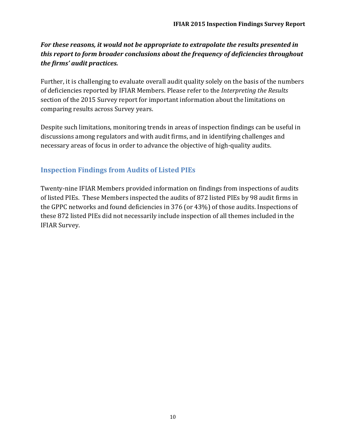### *For these reasons, it would not be appropriate to extrapolate the results presented in this report to form broader conclusions about the frequency of deficiencies throughout the firms' audit practices.*

Further, it is challenging to evaluate overall audit quality solely on the basis of the numbers of deficiencies reported by IFIAR Members. Please refer to the *Interpreting the Results* section of the 2015 Survey report for important information about the limitations on comparing results across Survey years.

Despite such limitations, monitoring trends in areas of inspection findings can be useful in discussions among regulators and with audit firms, and in identifying challenges and necessary areas of focus in order to advance the objective of high-quality audits.

## **Inspection Findings from Audits of Listed PIEs**

Twenty-nine IFIAR Members provided information on findings from inspections of audits of listed PIEs. These Members inspected the audits of 872 listed PIEs by 98 audit firms in the GPPC networks and found deficiencies in 376 (or 43%) of those audits. Inspections of these 872 listed PIEs did not necessarily include inspection of all themes included in the IFIAR Survey.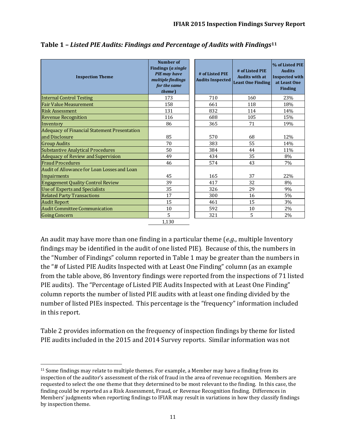| <b>Inspection Theme</b>                                               | Number of<br><b>Findings</b> (a single<br><b>PIE</b> may have<br>multiple findings<br>for the same<br>theme) | # of Listed PIE<br><b>Audits Inspected</b> | # of Listed PIE<br><b>Audits with at</b><br><b>Least One Finding</b> | % of Listed PIE<br><b>Audits</b><br><b>Inspected with</b><br>at Least One<br><b>Finding</b> |
|-----------------------------------------------------------------------|--------------------------------------------------------------------------------------------------------------|--------------------------------------------|----------------------------------------------------------------------|---------------------------------------------------------------------------------------------|
| <b>Internal Control Testing</b>                                       | 173                                                                                                          | 710                                        | 160                                                                  | 23%                                                                                         |
| <b>Fair Value Measurement</b>                                         | 158                                                                                                          | 661                                        | 118                                                                  | 18%                                                                                         |
| <b>Risk Assessment</b>                                                | 131                                                                                                          | 832                                        | 114                                                                  | 14%                                                                                         |
| <b>Revenue Recognition</b>                                            | 116                                                                                                          | 688                                        | 105                                                                  | 15%                                                                                         |
| Inventory                                                             | 86                                                                                                           | 365                                        | 71                                                                   | 19%                                                                                         |
| <b>Adequacy of Financial Statement Presentation</b><br>and Disclosure | 85                                                                                                           | 570                                        | 68                                                                   | 12%                                                                                         |
| <b>Group Audits</b>                                                   | 70                                                                                                           | 383                                        | 55                                                                   | 14%                                                                                         |
| <b>Substantive Analytical Procedures</b>                              | 50                                                                                                           | 384                                        | 44                                                                   | 11%                                                                                         |
| Adequacy of Review and Supervision                                    | 49                                                                                                           | 434                                        | 35                                                                   | 8%                                                                                          |
| <b>Fraud Procedures</b>                                               | 46                                                                                                           | 574                                        | 43                                                                   | 7%                                                                                          |
| Audit of Allowance for Loan Losses and Loan                           |                                                                                                              |                                            |                                                                      |                                                                                             |
| Impairments                                                           | 45                                                                                                           | 165                                        | 37                                                                   | 22%                                                                                         |
| <b>Engagement Quality Control Review</b>                              | 39                                                                                                           | 417                                        | 32                                                                   | 8%                                                                                          |
| Use of Experts and Specialists                                        | 35                                                                                                           | 326                                        | 29                                                                   | 9%                                                                                          |
| <b>Related Party Transactions</b>                                     | 17                                                                                                           | 300                                        | 16                                                                   | 5%                                                                                          |
| <b>Audit Report</b>                                                   | 15                                                                                                           | 461                                        | 15                                                                   | 3%                                                                                          |
| <b>Audit Committee Communication</b>                                  | 10                                                                                                           | 592                                        | 10                                                                   | 2%                                                                                          |
| <b>Going Concern</b>                                                  | 5                                                                                                            | 321                                        | 5                                                                    | 2%                                                                                          |
|                                                                       | 1,130                                                                                                        |                                            |                                                                      |                                                                                             |

**Table 1 –** *Listed PIE Audits: Findings and Percentage of Audits with Findings***<sup>11</sup>**

An audit may have more than one finding in a particular theme (*e.g*., multiple Inventory findings may be identified in the audit of one listed PIE). Because of this, the numbers in the "Number of Findings" column reported in Table 1 may be greater than the numbers in the "# of Listed PIE Audits Inspected with at Least One Finding" column (as an example from the table above, 86 Inventory findings were reported from the inspections of 71 listed PIE audits). The "Percentage of Listed PIE Audits Inspected with at Least One Finding" column reports the number of listed PIE audits with at least one finding divided by the number of listed PIEs inspected. This percentage is the "frequency" information included in this report.

Table 2 provides information on the frequency of inspection findings by theme for listed PIE audits included in the 2015 and 2014 Survey reports. Similar information was not

 $\overline{\phantom{a}}$ <sup>11</sup> Some findings may relate to multiple themes. For example, a Member may have a finding from its inspection of the auditor's assessment of the risk of fraud in the area of revenue recognition. Members are requested to select the one theme that they determined to be most relevant to the finding. In this case, the finding could be reported as a Risk Assessment, Fraud, or Revenue Recognition finding. Differences in Members' judgments when reporting findings to IFIAR may result in variations in how they classify findings by inspection theme.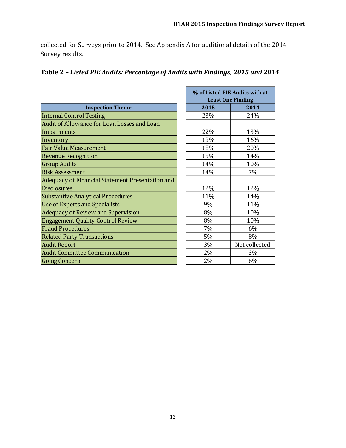collected for Surveys prior to 2014. See Appendix A for additional details of the 2014 Survey results.

П

|                                                  |      | % of Listed PIE Audits with at |
|--------------------------------------------------|------|--------------------------------|
|                                                  |      | <b>Least One Finding</b>       |
| <b>Inspection Theme</b>                          | 2015 | 2014                           |
| <b>Internal Control Testing</b>                  | 23%  | 24%                            |
| Audit of Allowance for Loan Losses and Loan      |      |                                |
| Impairments                                      | 22%  | 13%                            |
| Inventory                                        | 19%  | 16%                            |
| <b>Fair Value Measurement</b>                    | 18%  | 20%                            |
| <b>Revenue Recognition</b>                       | 15%  | 14%                            |
| <b>Group Audits</b>                              | 14%  | 10%                            |
| <b>Risk Assessment</b>                           | 14%  | 7%                             |
| Adequacy of Financial Statement Presentation and |      |                                |
| <b>Disclosures</b>                               | 12%  | 12%                            |
| <b>Substantive Analytical Procedures</b>         | 11%  | 14%                            |
| <b>Use of Experts and Specialists</b>            | 9%   | 11%                            |
| <b>Adequacy of Review and Supervision</b>        | 8%   | 10%                            |
| <b>Engagement Quality Control Review</b>         | 8%   | 10%                            |
| <b>Fraud Procedures</b>                          | 7%   | 6%                             |
| <b>Related Party Transactions</b>                | 5%   | 8%                             |
| <b>Audit Report</b>                              | 3%   | Not collected                  |
| <b>Audit Committee Communication</b>             | 2%   | 3%                             |
| <b>Going Concern</b>                             | 2%   | 6%                             |

## **Table 2 –** *Listed PIE Audits: Percentage of Audits with Findings, 2015 and 2014*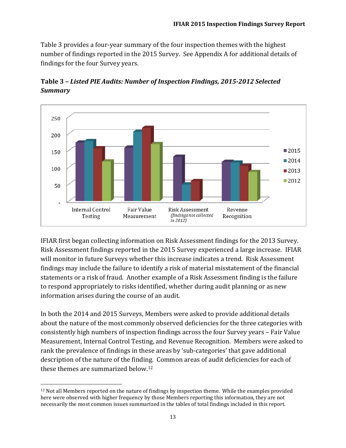Table 3 provides a four-year summary of the four inspection themes with the highest number of findings reported in the 2015 Survey. See Appendix A for additional details of findings for the four Survey years.



**Table 3 –** *Listed PIE Audits: Number of Inspection Findings, 2015-2012 Selected Summary*

IFIAR first began collecting information on Risk Assessment findings for the 2013 Survey. Risk Assessment findings reported in the 2015 Survey experienced a large increase. IFIAR will monitor in future Surveys whether this increase indicates a trend. Risk Assessment findings may include the failure to identify a risk of material misstatement of the financial statements or a risk of fraud. Another example of a Risk Assessment finding is the failure to respond appropriately to risks identified, whether during audit planning or as new information arises during the course of an audit.

In both the 2014 and 2015 Surveys, Members were asked to provide additional details about the nature of the most commonly observed deficiencies for the three categories with consistently high numbers of inspection findings across the four Survey years – Fair Value Measurement, Internal Control Testing, and Revenue Recognition. Members were asked to rank the prevalence of findings in these areas by 'sub-categories' that gave additional description of the nature of the finding. Common areas of audit deficiencies for each of these themes are summarized below.<sup>12</sup>

 $\overline{\phantom{a}}$ 

<sup>12</sup> Not all Members reported on the nature of findings by inspection theme. While the examples provided here were observed with higher frequency by those Members reporting this information, they are not necessarily the most common issues summarized in the tables of total findings included in this report.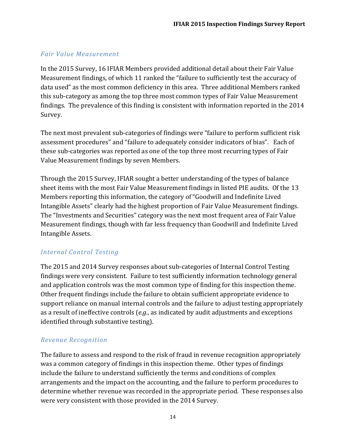#### *Fair Value Measurement*

In the 2015 Survey, 16 IFIAR Members provided additional detail about their Fair Value Measurement findings, of which 11 ranked the "failure to sufficiently test the accuracy of data used" as the most common deficiency in this area. Three additional Members ranked this sub-category as among the top three most common types of Fair Value Measurement findings. The prevalence of this finding is consistent with information reported in the 2014 Survey.

The next most prevalent sub-categories of findings were "failure to perform sufficient risk assessment procedures" and "failure to adequately consider indicators of bias". Each of these sub-categories was reported as one of the top three most recurring types of Fair Value Measurement findings by seven Members.

Through the 2015 Survey, IFIAR sought a better understanding of the types of balance sheet items with the most Fair Value Measurement findings in listed PIE audits. Of the 13 Members reporting this information, the category of "Goodwill and Indefinite Lived Intangible Assets" clearly had the highest proportion of Fair Value Measurement findings. The "Investments and Securities" category was the next most frequent area of Fair Value Measurement findings, though with far less frequency than Goodwill and Indefinite Lived Intangible Assets.

### *Internal Control Testing*

The 2015 and 2014 Survey responses about sub-categories of Internal Control Testing findings were very consistent. Failure to test sufficiently information technology general and application controls was the most common type of finding for this inspection theme. Other frequent findings include the failure to obtain sufficient appropriate evidence to support reliance on manual internal controls and the failure to adjust testing appropriately as a result of ineffective controls (*e.g*., as indicated by audit adjustments and exceptions identified through substantive testing).

### *Revenue Recognition*

The failure to assess and respond to the risk of fraud in revenue recognition appropriately was a common category of findings in this inspection theme. Other types of findings include the failure to understand sufficiently the terms and conditions of complex arrangements and the impact on the accounting, and the failure to perform procedures to determine whether revenue was recorded in the appropriate period. These responses also were very consistent with those provided in the 2014 Survey.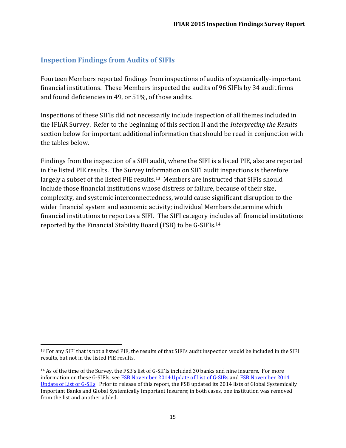### **Inspection Findings from Audits of SIFIs**

 $\overline{a}$ 

Fourteen Members reported findings from inspections of audits of systemically-important financial institutions. These Members inspected the audits of 96 SIFIs by 34 audit firms and found deficiencies in 49, or 51%, of those audits.

Inspections of these SIFIs did not necessarily include inspection of all themes included in the IFIAR Survey. Refer to the beginning of this section II and the *Interpreting the Results* section below for important additional information that should be read in conjunction with the tables below.

Findings from the inspection of a SIFI audit, where the SIFI is a listed PIE, also are reported in the listed PIE results. The Survey information on SIFI audit inspections is therefore largely a subset of the listed PIE results.<sup>13</sup> Members are instructed that SIFIs should include those financial institutions whose distress or failure, because of their size, complexity, and systemic interconnectedness, would cause significant disruption to the wider financial system and economic activity; individual Members determine which financial institutions to report as a SIFI. The SIFI category includes all financial institutions reported by the Financial Stability Board (FSB) to be G-SIFIs.<sup>14</sup>

<sup>13</sup> For any SIFI that is not a listed PIE, the results of that SIFI's audit inspection would be included in the SIFI results, but not in the listed PIE results.

<sup>14</sup> As of the time of the Survey, the FSB's list of G-SIFIs included 30 banks and nine insurers. For more information on these G-SIFIs, se[e FSB November 2014 Update of List of G-SIBs](http://www.fsb.org/2014/11/2014-update-of-list-of-global-systemically-important-banks/) and [FSB November 2014](http://www.fsb.org/2014/11/2014-update-of-list-of-global-systemically-important-insurers-g-siis/)  [Update of List of G-SIIs.](http://www.fsb.org/2014/11/2014-update-of-list-of-global-systemically-important-insurers-g-siis/) Prior to release of this report, the FSB updated its 2014 lists of Global Systemically Important Banks and Global Systemically Important Insurers; in both cases, one institution was removed from the list and another added.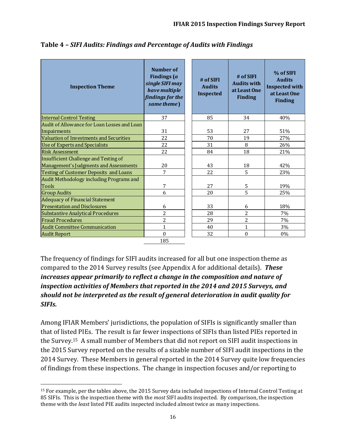| <b>Inspection Theme</b>                       | Number of<br>Findings (a<br>single SIFI may<br>have multiple<br>findings for the<br>same theme) | # of SIFI<br><b>Audits</b><br><b>Inspected</b> | # of SIFI<br><b>Audits with</b><br>at Least One<br><b>Finding</b> | % of SIFI<br><b>Audits</b><br><b>Inspected with</b><br>at Least One<br><b>Finding</b> |
|-----------------------------------------------|-------------------------------------------------------------------------------------------------|------------------------------------------------|-------------------------------------------------------------------|---------------------------------------------------------------------------------------|
| <b>Internal Control Testing</b>               | 37                                                                                              | 85                                             | 34                                                                | 40%                                                                                   |
| Audit of Allowance for Loan Losses and Loan   |                                                                                                 |                                                |                                                                   |                                                                                       |
| Impairments                                   | 31                                                                                              | 53                                             | 27                                                                | 51%                                                                                   |
| Valuation of Investments and Securities       | 22                                                                                              | 70                                             | 19                                                                | 27%                                                                                   |
| <b>Use of Experts and Specialists</b>         | 22                                                                                              | 31                                             | 8                                                                 | 26%                                                                                   |
| <b>Risk Assessment</b>                        | 22                                                                                              | 84                                             | 18                                                                | 21%                                                                                   |
| Insufficient Challenge and Testing of         |                                                                                                 |                                                |                                                                   |                                                                                       |
| Management's Judgments and Assessments        | 20                                                                                              | 43                                             | 18                                                                | 42%                                                                                   |
| <b>Testing of Customer Deposits and Loans</b> | $\overline{7}$                                                                                  | 22                                             | 5                                                                 | 23%                                                                                   |
| Audit Methodology including Programs and      |                                                                                                 |                                                |                                                                   |                                                                                       |
| <b>Tools</b>                                  | 7                                                                                               | 27                                             | 5                                                                 | 19%                                                                                   |
| <b>Group Audits</b>                           | 6                                                                                               | 20                                             | 5                                                                 | 25%                                                                                   |
| <b>Adequacy of Financial Statement</b>        |                                                                                                 |                                                |                                                                   |                                                                                       |
| <b>Presentation and Disclosures</b>           | 6                                                                                               | 33                                             | 6                                                                 | 18%                                                                                   |
| <b>Substantive Analytical Procedures</b>      | $\overline{2}$                                                                                  | 28                                             | $\overline{2}$                                                    | 7%                                                                                    |
| <b>Fraud Procedures</b>                       | $\overline{2}$                                                                                  | 29                                             | $\overline{2}$                                                    | 7%                                                                                    |
| <b>Audit Committee Communication</b>          | $\mathbf{1}$                                                                                    | 40                                             | $\mathbf{1}$                                                      | 3%                                                                                    |
| <b>Audit Report</b>                           | $\Omega$                                                                                        | 32                                             | $\theta$                                                          | 0%                                                                                    |

**Table 4 –** *SIFI Audits: Findings and Percentage of Audits with Findings*

The frequency of findings for SIFI audits increased for all but one inspection theme as compared to the 2014 Survey results (see Appendix A for additional details). *These increases appear primarily to reflect a change in the composition and nature of inspection activities of Members that reported in the 2014 and 2015 Surveys, and should not be interpreted as the result of general deterioration in audit quality for SIFIs.* 

Among IFIAR Members' jurisdictions, the population of SIFIs is significantly smaller than that of listed PIEs. The result is far fewer inspections of SIFIs than listed PIEs reported in the Survey.15 A small number of Members that did not report on SIFI audit inspections in the 2015 Survey reported on the results of a sizable number of SIFI audit inspections in the 2014 Survey. These Members in general reported in the 2014 Survey quite low frequencies of findings from these inspections. The change in inspection focuses and/or reporting to

 $\overline{\phantom{a}}$ <sup>15</sup> For example, per the tables above, the 2015 Survey data included inspections of Internal Control Testing at 85 SIFIs. This is the inspection theme with the *most* SIFI audits inspected. By comparison, the inspection theme with the *least* listed PIE audits inspected included almost twice as many inspections.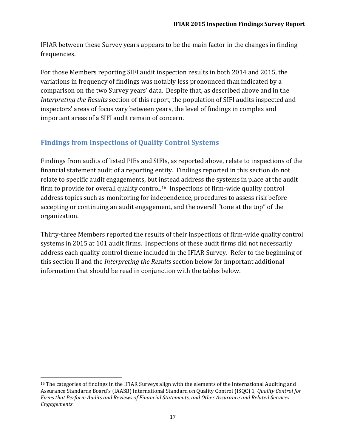IFIAR between these Survey years appears to be the main factor in the changes in finding frequencies.

For those Members reporting SIFI audit inspection results in both 2014 and 2015, the variations in frequency of findings was notably less pronounced than indicated by a comparison on the two Survey years' data. Despite that, as described above and in the *Interpreting the Results* section of this report, the population of SIFI audits inspected and inspectors' areas of focus vary between years, the level of findings in complex and important areas of a SIFI audit remain of concern.

## **Findings from Inspections of Quality Control Systems**

Findings from audits of listed PIEs and SIFIs, as reported above, relate to inspections of the financial statement audit of a reporting entity. Findings reported in this section do not relate to specific audit engagements, but instead address the systems in place at the audit firm to provide for overall quality control.<sup>16</sup> Inspections of firm-wide quality control address topics such as monitoring for independence, procedures to assess risk before accepting or continuing an audit engagement, and the overall "tone at the top" of the organization.

Thirty-three Members reported the results of their inspections of firm-wide quality control systems in 2015 at 101 audit firms. Inspections of these audit firms did not necessarily address each quality control theme included in the IFIAR Survey. Refer to the beginning of this section II and the *Interpreting the Results* section below for important additional information that should be read in conjunction with the tables below.

 $\overline{a}$ <sup>16</sup> The categories of findings in the IFIAR Surveys align with the elements of the International Auditing and Assurance Standards Board's (IAASB) International Standard on Quality Control (ISQC) 1, *Quality Control for Firms that Perform Audits and Reviews of Financial Statements, and Other Assurance and Related Services Engagements*.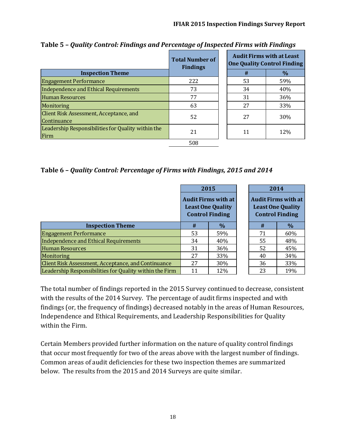|                                                            | <b>Total Number of</b><br><b>Findings</b> | <b>Audit Firms with at Least</b><br><b>One Quality Control Finding</b> |               |  |
|------------------------------------------------------------|-------------------------------------------|------------------------------------------------------------------------|---------------|--|
| <b>Inspection Theme</b>                                    |                                           | #                                                                      | $\frac{0}{0}$ |  |
| <b>Engagement Performance</b>                              | 222                                       | 53                                                                     | 59%           |  |
| Independence and Ethical Requirements                      | 73                                        | 34                                                                     | 40%           |  |
| <b>Human Resources</b>                                     | 77                                        | 31                                                                     | 36%           |  |
| Monitoring                                                 | 63                                        | 27                                                                     | 33%           |  |
| Client Risk Assessment, Acceptance, and<br>Continuance     | 52                                        | 27                                                                     | <b>30%</b>    |  |
| Leadership Responsibilities for Quality within the<br>Firm | 21                                        | 11                                                                     | 12%           |  |
|                                                            | 508                                       |                                                                        |               |  |

**Table 5 –** *Quality Control: Findings and Percentage of Inspected Firms with Findings*

**Table 6 –** *Quality Control: Percentage of Firms with Findings, 2015 and 2014*

|                                                         | 2015                                                                      |      | 2014 |                                                                                  |  |
|---------------------------------------------------------|---------------------------------------------------------------------------|------|------|----------------------------------------------------------------------------------|--|
|                                                         | Audit Firms with at<br><b>Least One Quality</b><br><b>Control Finding</b> |      |      | <b>Audit Firms with at</b><br><b>Least One Quality</b><br><b>Control Finding</b> |  |
| <b>Inspection Theme</b>                                 | #                                                                         | $\%$ | #    | $\%$                                                                             |  |
| <b>Engagement Performance</b>                           | 53                                                                        | 59%  | 71   | 60%                                                                              |  |
| <b>Independence and Ethical Requirements</b>            | 34                                                                        | 40%  | 55   | 48%                                                                              |  |
| <b>Human Resources</b>                                  | 31                                                                        | 36%  | 52   | 45%                                                                              |  |
| Monitoring                                              | 27                                                                        | 33%  | 40   | 34%                                                                              |  |
| Client Risk Assessment, Acceptance, and Continuance     | 27                                                                        | 30%  | 36   | 33%                                                                              |  |
| Leadership Responsibilities for Quality within the Firm | 11                                                                        | 12%  | 23   | 19%                                                                              |  |

The total number of findings reported in the 2015 Survey continued to decrease, consistent with the results of the 2014 Survey. The percentage of audit firms inspected and with findings (or, the frequency of findings) decreased notably in the areas of Human Resources, Independence and Ethical Requirements, and Leadership Responsibilities for Quality within the Firm.

Certain Members provided further information on the nature of quality control findings that occur most frequently for two of the areas above with the largest number of findings. Common areas of audit deficiencies for these two inspection themes are summarized below. The results from the 2015 and 2014 Surveys are quite similar.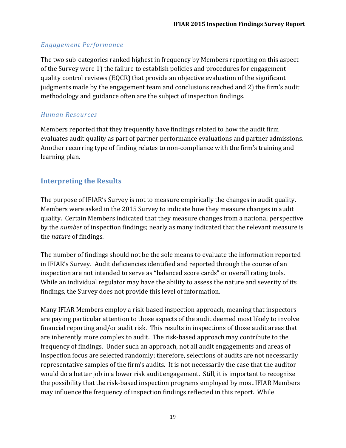### *Engagement Performance*

The two sub-categories ranked highest in frequency by Members reporting on this aspect of the Survey were 1) the failure to establish policies and procedures for engagement quality control reviews (EQCR) that provide an objective evaluation of the significant judgments made by the engagement team and conclusions reached and 2) the firm's audit methodology and guidance often are the subject of inspection findings.

#### *Human Resources*

Members reported that they frequently have findings related to how the audit firm evaluates audit quality as part of partner performance evaluations and partner admissions. Another recurring type of finding relates to non-compliance with the firm's training and learning plan.

## **Interpreting the Results**

The purpose of IFIAR's Survey is not to measure empirically the changes in audit quality. Members were asked in the 2015 Survey to indicate how they measure changes in audit quality. Certain Members indicated that they measure changes from a national perspective by the *number* of inspection findings; nearly as many indicated that the relevant measure is the *nature* of findings.

The number of findings should not be the sole means to evaluate the information reported in IFIAR's Survey. Audit deficiencies identified and reported through the course of an inspection are not intended to serve as "balanced score cards" or overall rating tools. While an individual regulator may have the ability to assess the nature and severity of its findings, the Survey does not provide this level of information.

Many IFIAR Members employ a risk-based inspection approach, meaning that inspectors are paying particular attention to those aspects of the audit deemed most likely to involve financial reporting and/or audit risk. This results in inspections of those audit areas that are inherently more complex to audit. The risk-based approach may contribute to the frequency of findings. Under such an approach, not all audit engagements and areas of inspection focus are selected randomly; therefore, selections of audits are not necessarily representative samples of the firm's audits. It is not necessarily the case that the auditor would do a better job in a lower risk audit engagement. Still, it is important to recognize the possibility that the risk-based inspection programs employed by most IFIAR Members may influence the frequency of inspection findings reflected in this report. While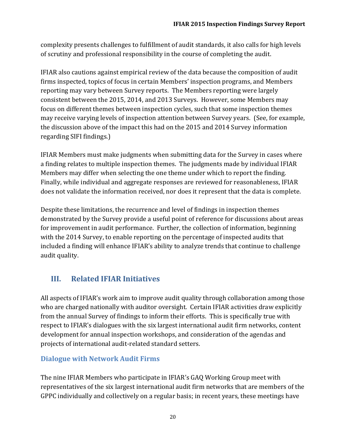complexity presents challenges to fulfillment of audit standards, it also calls for high levels of scrutiny and professional responsibility in the course of completing the audit.

IFIAR also cautions against empirical review of the data because the composition of audit firms inspected, topics of focus in certain Members' inspection programs, and Members reporting may vary between Survey reports. The Members reporting were largely consistent between the 2015, 2014, and 2013 Surveys. However, some Members may focus on different themes between inspection cycles, such that some inspection themes may receive varying levels of inspection attention between Survey years. (See, for example, the discussion above of the impact this had on the 2015 and 2014 Survey information regarding SIFI findings.)

IFIAR Members must make judgments when submitting data for the Survey in cases where a finding relates to multiple inspection themes. The judgments made by individual IFIAR Members may differ when selecting the one theme under which to report the finding. Finally, while individual and aggregate responses are reviewed for reasonableness, IFIAR does not validate the information received, nor does it represent that the data is complete.

Despite these limitations, the recurrence and level of findings in inspection themes demonstrated by the Survey provide a useful point of reference for discussions about areas for improvement in audit performance. Further, the collection of information, beginning with the 2014 Survey, to enable reporting on the percentage of inspected audits that included a finding will enhance IFIAR's ability to analyze trends that continue to challenge audit quality.

## **III. Related IFIAR Initiatives**

All aspects of IFIAR's work aim to improve audit quality through collaboration among those who are charged nationally with auditor oversight. Certain IFIAR activities draw explicitly from the annual Survey of findings to inform their efforts. This is specifically true with respect to IFIAR's dialogues with the six largest international audit firm networks, content development for annual inspection workshops, and consideration of the agendas and projects of international audit-related standard setters.

## **Dialogue with Network Audit Firms**

The nine IFIAR Members who participate in IFIAR's GAQ Working Group meet with representatives of the six largest international audit firm networks that are members of the GPPC individually and collectively on a regular basis; in recent years, these meetings have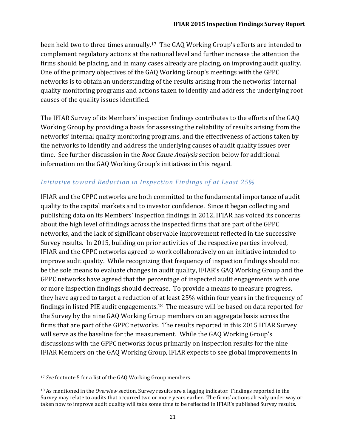been held two to three times annually.<sup>17</sup> The GAQ Working Group's efforts are intended to complement regulatory actions at the national level and further increase the attention the firms should be placing, and in many cases already are placing, on improving audit quality. One of the primary objectives of the GAQ Working Group's meetings with the GPPC networks is to obtain an understanding of the results arising from the networks' internal quality monitoring programs and actions taken to identify and address the underlying root causes of the quality issues identified.

The IFIAR Survey of its Members' inspection findings contributes to the efforts of the GAQ Working Group by providing a basis for assessing the reliability of results arising from the networks' internal quality monitoring programs, and the effectiveness of actions taken by the networks to identify and address the underlying causes of audit quality issues over time. See further discussion in the *Root Cause Analysis* section below for additional information on the GAQ Working Group's initiatives in this regard.

#### *Initiative toward Reduction in Inspection Findings of at Least 25%*

IFIAR and the GPPC networks are both committed to the fundamental importance of audit quality to the capital markets and to investor confidence. Since it began collecting and publishing data on its Members' inspection findings in 2012, IFIAR has voiced its concerns about the high level of findings across the inspected firms that are part of the GPPC networks, and the lack of significant observable improvement reflected in the successive Survey results. In 2015, building on prior activities of the respective parties involved, IFIAR and the GPPC networks agreed to work collaboratively on an initiative intended to improve audit quality. While recognizing that frequency of inspection findings should not be the sole means to evaluate changes in audit quality, IFIAR's GAQ Working Group and the GPPC networks have agreed that the percentage of inspected audit engagements with one or more inspection findings should decrease. To provide a means to measure progress, they have agreed to target a reduction of at least 25% within four years in the frequency of findings in listed PIE audit engagements.18 The measure will be based on data reported for the Survey by the nine GAQ Working Group members on an aggregate basis across the firms that are part of the GPPC networks. The results reported in this 2015 IFIAR Survey will serve as the baseline for the measurement. While the GAQ Working Group's discussions with the GPPC networks focus primarily on inspection results for the nine IFIAR Members on the GAQ Working Group, IFIAR expects to see global improvements in

 $\overline{a}$ 

<sup>17</sup> *See* footnote 5 for a list of the GAQ Working Group members.

<sup>18</sup> As mentioned in the *Overview* section, Survey results are a lagging indicator. Findings reported in the Survey may relate to audits that occurred two or more years earlier. The firms' actions already under way or taken now to improve audit quality will take some time to be reflected in IFIAR's published Survey results.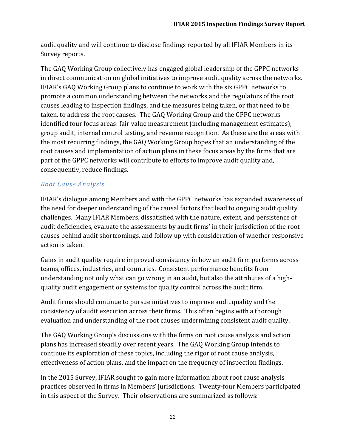audit quality and will continue to disclose findings reported by all IFIAR Members in its Survey reports.

The GAQ Working Group collectively has engaged global leadership of the GPPC networks in direct communication on global initiatives to improve audit quality across the networks. IFIAR's GAQ Working Group plans to continue to work with the six GPPC networks to promote a common understanding between the networks and the regulators of the root causes leading to inspection findings, and the measures being taken, or that need to be taken, to address the root causes. The GAQ Working Group and the GPPC networks identified four focus areas: fair value measurement (including management estimates), group audit, internal control testing, and revenue recognition. As these are the areas with the most recurring findings, the GAQ Working Group hopes that an understanding of the root causes and implementation of action plans in these focus areas by the firms that are part of the GPPC networks will contribute to efforts to improve audit quality and, consequently, reduce findings.

## *Root Cause Analysis*

IFIAR's dialogue among Members and with the GPPC networks has expanded awareness of the need for deeper understanding of the causal factors that lead to ongoing audit quality challenges. Many IFIAR Members, dissatisfied with the nature, extent, and persistence of audit deficiencies, evaluate the assessments by audit firms' in their jurisdiction of the root causes behind audit shortcomings, and follow up with consideration of whether responsive action is taken.

Gains in audit quality require improved consistency in how an audit firm performs across teams, offices, industries, and countries. Consistent performance benefits from understanding not only what can go wrong in an audit, but also the attributes of a highquality audit engagement or systems for quality control across the audit firm.

Audit firms should continue to pursue initiatives to improve audit quality and the consistency of audit execution across their firms. This often begins with a thorough evaluation and understanding of the root causes undermining consistent audit quality.

The GAQ Working Group's discussions with the firms on root cause analysis and action plans has increased steadily over recent years. The GAQ Working Group intends to continue its exploration of these topics, including the rigor of root cause analysis, effectiveness of action plans, and the impact on the frequency of inspection findings.

In the 2015 Survey, IFIAR sought to gain more information about root cause analysis practices observed in firms in Members' jurisdictions. Twenty-four Members participated in this aspect of the Survey. Their observations are summarized as follows: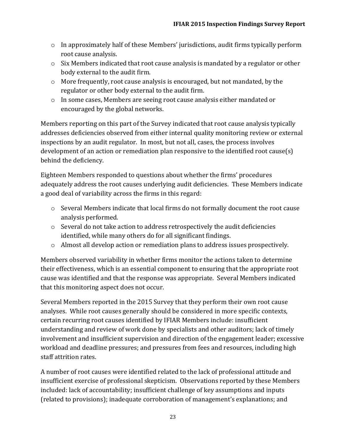- $\circ$  In approximately half of these Members' jurisdictions, audit firms typically perform root cause analysis.
- $\circ$  Six Members indicated that root cause analysis is mandated by a regulator or other body external to the audit firm.
- o More frequently, root cause analysis is encouraged, but not mandated, by the regulator or other body external to the audit firm.
- o In some cases, Members are seeing root cause analysis either mandated or encouraged by the global networks.

Members reporting on this part of the Survey indicated that root cause analysis typically addresses deficiencies observed from either internal quality monitoring review or external inspections by an audit regulator. In most, but not all, cases, the process involves development of an action or remediation plan responsive to the identified root cause(s) behind the deficiency.

Eighteen Members responded to questions about whether the firms' procedures adequately address the root causes underlying audit deficiencies. These Members indicate a good deal of variability across the firms in this regard:

- o Several Members indicate that local firms do not formally document the root cause analysis performed.
- o Several do not take action to address retrospectively the audit deficiencies identified, while many others do for all significant findings.
- $\circ$  Almost all develop action or remediation plans to address issues prospectively.

Members observed variability in whether firms monitor the actions taken to determine their effectiveness, which is an essential component to ensuring that the appropriate root cause was identified and that the response was appropriate. Several Members indicated that this monitoring aspect does not occur.

Several Members reported in the 2015 Survey that they perform their own root cause analyses. While root causes generally should be considered in more specific contexts, certain recurring root causes identified by IFIAR Members include: insufficient understanding and review of work done by specialists and other auditors; lack of timely involvement and insufficient supervision and direction of the engagement leader; excessive workload and deadline pressures; and pressures from fees and resources, including high staff attrition rates.

A number of root causes were identified related to the lack of professional attitude and insufficient exercise of professional skepticism. Observations reported by these Members included: lack of accountability; insufficient challenge of key assumptions and inputs (related to provisions); inadequate corroboration of management's explanations; and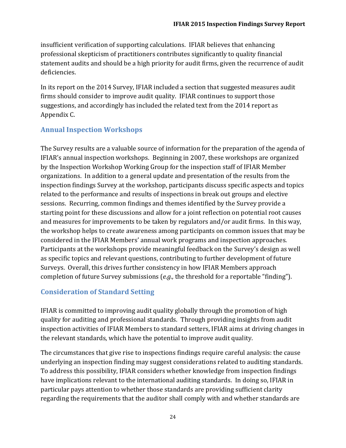insufficient verification of supporting calculations. IFIAR believes that enhancing professional skepticism of practitioners contributes significantly to quality financial statement audits and should be a high priority for audit firms, given the recurrence of audit deficiencies.

In its report on the 2014 Survey, IFIAR included a section that suggested measures audit firms should consider to improve audit quality. IFIAR continues to support those suggestions, and accordingly has included the related text from the 2014 report as Appendix C.

## **Annual Inspection Workshops**

The Survey results are a valuable source of information for the preparation of the agenda of IFIAR's annual inspection workshops. Beginning in 2007, these workshops are organized by the Inspection Workshop Working Group for the inspection staff of IFIAR Member organizations. In addition to a general update and presentation of the results from the inspection findings Survey at the workshop, participants discuss specific aspects and topics related to the performance and results of inspections in break out groups and elective sessions. Recurring, common findings and themes identified by the Survey provide a starting point for these discussions and allow for a joint reflection on potential root causes and measures for improvements to be taken by regulators and/or audit firms. In this way, the workshop helps to create awareness among participants on common issues that may be considered in the IFIAR Members' annual work programs and inspection approaches. Participants at the workshops provide meaningful feedback on the Survey's design as well as specific topics and relevant questions, contributing to further development of future Surveys. Overall, this drives further consistency in how IFIAR Members approach completion of future Survey submissions (*e.g.,* the threshold for a reportable "finding").

### **Consideration of Standard Setting**

IFIAR is committed to improving audit quality globally through the promotion of high quality for auditing and professional standards. Through providing insights from audit inspection activities of IFIAR Members to standard setters, IFIAR aims at driving changes in the relevant standards, which have the potential to improve audit quality.

The circumstances that give rise to inspections findings require careful analysis: the cause underlying an inspection finding may suggest considerations related to auditing standards. To address this possibility, IFIAR considers whether knowledge from inspection findings have implications relevant to the international auditing standards. In doing so, IFIAR in particular pays attention to whether those standards are providing sufficient clarity regarding the requirements that the auditor shall comply with and whether standards are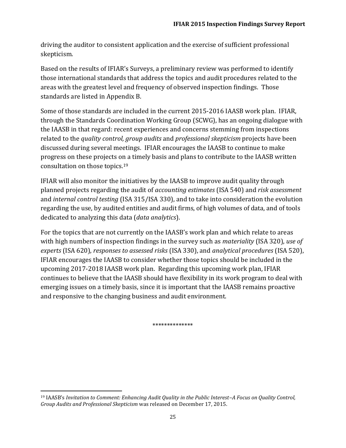driving the auditor to consistent application and the exercise of sufficient professional skepticism.

Based on the results of IFIAR's Surveys, a preliminary review was performed to identify those international standards that address the topics and audit procedures related to the areas with the greatest level and frequency of observed inspection findings. Those standards are listed in Appendix B.

Some of those standards are included in the current 2015-2016 IAASB work plan. IFIAR, through the Standards Coordination Working Group (SCWG), has an ongoing dialogue with the IAASB in that regard: recent experiences and concerns stemming from inspections related to the *quality control, group audits* and *professional skepticism* projects have been discussed during several meetings. IFIAR encourages the IAASB to continue to make progress on these projects on a timely basis and plans to contribute to the IAASB written consultation on those topics.<sup>19</sup>

IFIAR will also monitor the initiatives by the IAASB to improve audit quality through planned projects regarding the audit of *accounting estimates* (ISA 540) and *risk assessment*  and *internal control testing* (ISA 315/ISA 330), and to take into consideration the evolution regarding the use, by audited entities and audit firms, of high volumes of data, and of tools dedicated to analyzing this data (*data analytics*).

For the topics that are not currently on the IAASB's work plan and which relate to areas with high numbers of inspection findings in the survey such as *materiality* (ISA 320), *use of experts* (ISA 620), *responses to assessed risks* (ISA 330), and *analytical procedures* (ISA 520), IFIAR encourages the IAASB to consider whether those topics should be included in the upcoming 2017-2018 IAASB work plan. Regarding this upcoming work plan, IFIAR continues to believe that the IAASB should have flexibility in its work program to deal with emerging issues on a timely basis, since it is important that the IAASB remains proactive and responsive to the changing business and audit environment.

\*\*\*\*\*\*\*\*\*\*\*\*\*\*

 $\overline{\phantom{a}}$ 

<sup>19</sup> IAASB's *Invitation to Comment: Enhancing Audit Quality in the Public Interest–A Focus on Quality Control, Group Audits and Professional Skepticism* was released on December 17, 2015.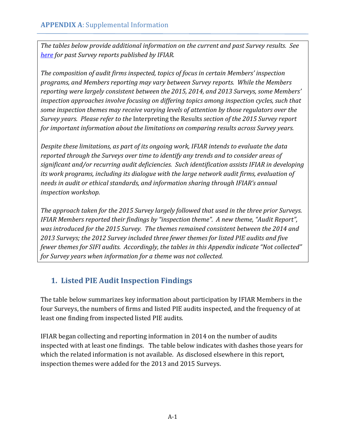*The tables below provide additional information on the current and past Survey results. See [here](https://ifiar.org/IFIAR-Global-Survey-of-Inspection-Findings.aspx) for past Survey reports published by IFIAR.* 

*The composition of audit firms inspected, topics of focus in certain Members' inspection programs, and Members reporting may vary between Survey reports. While the Members reporting were largely consistent between the 2015, 2014, and 2013 Surveys, some Members' inspection approaches involve focusing on differing topics among inspection cycles, such that some inspection themes may receive varying levels of attention by those regulators over the Survey years. Please refer to the* Interpreting the Results *section of the 2015 Survey report for important information about the limitations on comparing results across Survey years.* 

*Despite these limitations, as part of its ongoing work, IFIAR intends to evaluate the data reported through the Surveys over time to identify any trends and to consider areas of significant and/or recurring audit deficiencies. Such identification assists IFIAR in developing its work programs, including its dialogue with the large network audit firms, evaluation of needs in audit or ethical standards, and information sharing through IFIAR's annual inspection workshop.* 

*The approach taken for the 2015 Survey largely followed that used in the three prior Surveys. IFIAR Members reported their findings by "inspection theme". A new theme, "Audit Report", was introduced for the 2015 Survey. The themes remained consistent between the 2014 and 2013 Surveys; the 2012 Survey included three fewer themes for listed PIE audits and five fewer themes for SIFI audits. Accordingly, the tables in this Appendix indicate "Not collected" for Survey years when information for a theme was not collected.*

## **1. Listed PIE Audit Inspection Findings**

The table below summarizes key information about participation by IFIAR Members in the four Surveys, the numbers of firms and listed PIE audits inspected, and the frequency of at least one finding from inspected listed PIE audits.

IFIAR began collecting and reporting information in 2014 on the number of audits inspected with at least one findings. The table below indicates with dashes those years for which the related information is not available. As disclosed elsewhere in this report, inspection themes were added for the 2013 and 2015 Surveys.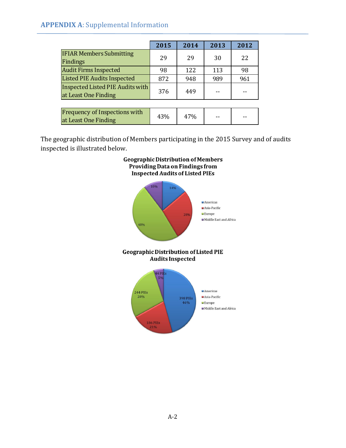### **APPENDIX A**: Supplemental Information

|                                                                 | 2015 | 2014 | 2013 | 2012 |
|-----------------------------------------------------------------|------|------|------|------|
| <b>IFIAR Members Submitting</b><br>Findings                     | 29   | 29   | 30   | 22   |
| <b>Audit Firms Inspected</b>                                    | 98   | 122  | 113  | 98   |
| <b>Listed PIE Audits Inspected</b>                              | 872  | 948  | 989  | 961  |
| <b>Inspected Listed PIE Audits with</b><br>at Least One Finding | 376  | 449  |      |      |
|                                                                 |      |      |      |      |
| Frequency of Inspections with<br>at Least One Finding           | 43%  | 47%  |      |      |

The geographic distribution of Members participating in the 2015 Survey and of audits inspected is illustrated below.



## **Geographic Distribution of Members** Providing Data on Findings from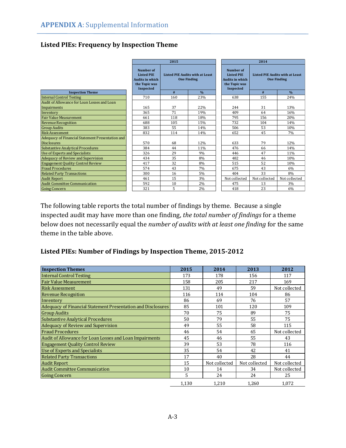#### **Listed PIEs: Frequency by Inspection Theme**

|                                                  | 2015                                                                                   |                                                              |               | 2014                                                                      |                                                                    |               |  |
|--------------------------------------------------|----------------------------------------------------------------------------------------|--------------------------------------------------------------|---------------|---------------------------------------------------------------------------|--------------------------------------------------------------------|---------------|--|
|                                                  | Number of<br><b>Listed PIE</b><br><b>Audits in which</b><br>the Topic was<br>Inspected | <b>Listed PIE Audits with at Least</b><br><b>One Finding</b> |               | Number of<br><b>Listed PIE</b><br><b>Audits in which</b><br>the Topic was | Listed PIE Audits with at Least<br><b>One Finding</b><br>Inspected |               |  |
| <b>Inspection Theme</b>                          |                                                                                        | #                                                            | $\frac{0}{0}$ |                                                                           | #                                                                  | $\frac{0}{0}$ |  |
| <b>Internal Control Testing</b>                  | 710                                                                                    | 160                                                          | 23%           | 638                                                                       | 155                                                                | 24%           |  |
| Audit of Allowance for Loan Losses and Loan      |                                                                                        |                                                              |               |                                                                           |                                                                    |               |  |
| Impairments                                      | 165                                                                                    | 37                                                           | 22%           | 244                                                                       | 31                                                                 | 13%           |  |
| Inventory                                        | 365                                                                                    | 71                                                           | 19%           | 409                                                                       | 64                                                                 | 16%           |  |
| <b>Fair Value Measurement</b>                    | 661                                                                                    | 118                                                          | 18%           | 795                                                                       | 156                                                                | 20%           |  |
| <b>Revenue Recognition</b>                       | 688                                                                                    | 105                                                          | 15%           | 732                                                                       | 104                                                                | 14%           |  |
| <b>Group Audits</b>                              | 383                                                                                    | 55                                                           | 14%           | 506                                                                       | 53                                                                 | 10%           |  |
| <b>Risk Assessment</b>                           | 832                                                                                    | 114                                                          | 14%           | 652                                                                       | 45                                                                 | 7%            |  |
| Adequacy of Financial Statement Presentation and |                                                                                        |                                                              |               |                                                                           |                                                                    |               |  |
| <b>Disclosures</b>                               | 570                                                                                    | 68                                                           | 12%           | 633                                                                       | 79                                                                 | 12%           |  |
| <b>Substantive Analytical Procedures</b>         | 384                                                                                    | 44                                                           | 11%           | 476                                                                       | 66                                                                 | 14%           |  |
| Use of Experts and Specialists                   | 326                                                                                    | 29                                                           | 9%            | 446                                                                       | 47                                                                 | 11%           |  |
| Adequacy of Review and Supervision               | 434                                                                                    | 35                                                           | 8%            | 482                                                                       | 46                                                                 | 10%           |  |
| <b>Engagement Quality Control Review</b>         | 417                                                                                    | 32                                                           | 8%            | 515                                                                       | 52                                                                 | 10%           |  |
| <b>Fraud Procedures</b>                          | 574                                                                                    | 43                                                           | 7%            | 675                                                                       | 43                                                                 | 6%            |  |
| <b>Related Party Transactions</b>                | 300                                                                                    | 16                                                           | 5%            | 404                                                                       | 33                                                                 | 8%            |  |
| <b>Audit Report</b>                              | 461                                                                                    | 15                                                           | 3%            | Not collected                                                             | Not collected                                                      | Not collected |  |
| <b>Audit Committee Communication</b>             | 592                                                                                    | 10                                                           | 2%            | 475                                                                       | 13                                                                 | 3%            |  |
| <b>Going Concern</b>                             | 321                                                                                    | 5                                                            | 2%            | 418                                                                       | 23                                                                 | 6%            |  |

The following table reports the total number of findings by theme. Because a single inspected audit may have more than one finding, *the total number of findings* for a theme below does not necessarily equal the *number of audits with at least one finding* for the same theme in the table above.

#### **Listed PIEs: Number of Findings by Inspection Theme, 2015-2012**

| <b>Inspection Themes</b>                                     | 2015  | 2014          | 2013          | 2012          |
|--------------------------------------------------------------|-------|---------------|---------------|---------------|
| <b>Internal Control Testing</b>                              | 173   | 178           | 156           | 117           |
| <b>Fair Value Measurement</b>                                | 158   | 205           | 217           | 169           |
| <b>Risk Assessment</b>                                       | 131   | 49            | 59            | Not collected |
| <b>Revenue Recognition</b>                                   | 116   | 114           | 104           | 86            |
| Inventory                                                    | 86    | 69            | 76            | 57            |
| Adequacy of Financial Statement Presentation and Disclosures | 85    | 101           | 120           | 109           |
| <b>Group Audits</b>                                          | 70    | 75            | 89            | 75            |
| <b>Substantive Analytical Procedures</b>                     | 50    | 79            | 55            | 75            |
| Adequacy of Review and Supervision                           | 49    | 55            | 58            | 115           |
| <b>Fraud Procedures</b>                                      | 46    | 54            | 65            | Not collected |
| Audit of Allowance for Loan Losses and Loan Impairments      | 45    | 46            | 55            | 43            |
| <b>Engagement Quality Control Review</b>                     | 39    | 53            | 78            | 116           |
| Use of Experts and Specialists                               | 35    | 54            | 42            | 41            |
| <b>Related Party Transactions</b>                            | 17    | 40            | 28            | 44            |
| <b>Audit Report</b>                                          | 15    | Not collected | Not collected | Not collected |
| <b>Audit Committee Communication</b>                         | 10    | 14            | 34            | Not collected |
| <b>Going Concern</b>                                         | 5     | 24            | 24            | 25            |
|                                                              | 1,130 | 1,210         | 1,260         | 1,072         |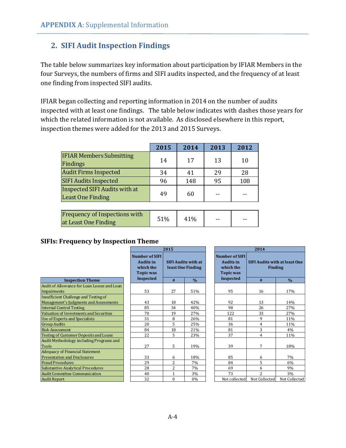## **2. SIFI Audit Inspection Findings**

The table below summarizes key information about participation by IFIAR Members in the four Surveys, the numbers of firms and SIFI audits inspected, and the frequency of at least one finding from inspected SIFI audits.

IFIAR began collecting and reporting information in 2014 on the number of audits inspected with at least one findings. The table below indicates with dashes those years for which the related information is not available. As disclosed elsewhere in this report, inspection themes were added for the 2013 and 2015 Surveys.

|                                                              | 2015 | 2014 | 2013 | 2012 |
|--------------------------------------------------------------|------|------|------|------|
| <b>IFIAR Members Submitting</b><br>Findings                  | 14   | 17   | 13   | 10   |
| <b>Audit Firms Inspected</b>                                 | 34   | 41   | 29   | 28   |
| <b>SIFI Audits Inspected</b>                                 | 96   | 148  | 95   | 108  |
| Inspected SIFI Audits with at<br><b>Least One Finding</b>    | 49   | 60   |      |      |
|                                                              |      |      |      |      |
| <b>Frequency of Inspections with</b><br>at Least One Finding | 51%  | 41%  |      |      |

## **SIFIs: Frequency by Inspection Theme**

|                                               | 2015                                                                       |                | 2014                                            |                                                                     |                                                        |               |
|-----------------------------------------------|----------------------------------------------------------------------------|----------------|-------------------------------------------------|---------------------------------------------------------------------|--------------------------------------------------------|---------------|
|                                               | <b>Number of SIFI</b><br><b>Audits in</b><br>which the<br><b>Topic was</b> |                | <b>SIFI Audits with at</b><br>least One Finding | <b>Number of SIFI</b><br><b>Audits in</b><br>which the<br>Topic was | <b>SIFI Audits with at least One</b><br><b>Finding</b> |               |
| <b>Inspection Theme</b>                       | Inspected                                                                  | #              | $\frac{0}{0}$                                   | Inspected                                                           | #                                                      | $\frac{0}{0}$ |
| Audit of Allowance for Loan Losses and Loan   |                                                                            |                |                                                 |                                                                     |                                                        |               |
| Impairments                                   | 53                                                                         | 27             | 51%                                             | 95                                                                  | 16                                                     | 17%           |
| Insufficient Challenge and Testing of         |                                                                            |                |                                                 |                                                                     |                                                        |               |
| Management's Judgments and Assessments        | 43                                                                         | 18             | 42%                                             | 92                                                                  | 13                                                     | 14%           |
| <b>Internal Control Testing</b>               | 85                                                                         | 34             | 40%                                             | 98                                                                  | 26                                                     | 27%           |
| Valuation of Investments and Securities       | 70                                                                         | 19             | 27%                                             | 122                                                                 | 33                                                     | 27%           |
| Use of Experts and Specialists                | 31                                                                         | 8              | 26%                                             | 81                                                                  | 9                                                      | 11%           |
| <b>Group Audits</b>                           | 20                                                                         | 5              | 25%                                             | 36                                                                  | 4                                                      | 11%           |
| <b>Risk Assessment</b>                        | 84                                                                         | 18             | 21%                                             | 81                                                                  | 3                                                      | 4%            |
| <b>Testing of Customer Deposits and Loans</b> | 22                                                                         | 5              | 23%                                             | 37                                                                  | 4                                                      | 11%           |
| Audit Methodology including Programs and      |                                                                            |                |                                                 |                                                                     |                                                        |               |
| <b>Tools</b>                                  | 27                                                                         | 5              | 19%                                             | 39                                                                  | 7                                                      | 18%           |
| <b>Adequacy of Financial Statement</b>        |                                                                            |                |                                                 |                                                                     |                                                        |               |
| <b>Presentation and Disclosures</b>           | 33                                                                         | 6              | 18%                                             | 85                                                                  | 6                                                      | 7%            |
| <b>Fraud Procedures</b>                       | 29                                                                         | $\overline{c}$ | 7%                                              | 84                                                                  | 5                                                      | 6%            |
| <b>Substantive Analytical Procedures</b>      | 28                                                                         | $\overline{2}$ | 7%                                              | 69                                                                  | 6                                                      | 9%            |
| <b>Audit Committee Communication</b>          | 40                                                                         | $\mathbf{1}$   | 3%                                              | 73                                                                  | $\overline{2}$                                         | 3%            |
| <b>Audit Report</b>                           | 32                                                                         | $\theta$       | 0%                                              | Not collected                                                       | Not Collected                                          | Not Collected |

 $\overline{\phantom{a}}$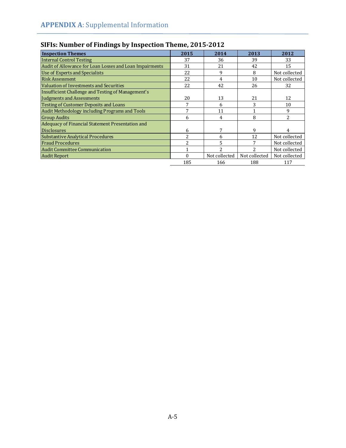| <b>Inspection Themes</b>                                | 2015 | 2014          | 2013          | 2012          |
|---------------------------------------------------------|------|---------------|---------------|---------------|
| <b>Internal Control Testing</b>                         | 37   | 36            | 39            | 33            |
| Audit of Allowance for Loan Losses and Loan Impairments | 31   | 21            | 42            | 15            |
| <b>Use of Experts and Specialists</b>                   | 22   | 9             | 8             | Not collected |
| <b>Risk Assessment</b>                                  | 22   | 4             | 10            | Not collected |
| Valuation of Investments and Securities                 | 22   | 42            | 26            | 32            |
| Insufficient Challenge and Testing of Management's      |      |               |               |               |
| Judgments and Assessments                               | 20   | 13            | 21            | 12            |
| Testing of Customer Deposits and Loans                  | 7    | 6             | 3             | 10            |
| Audit Methodology including Programs and Tools          | 7    | 11            |               | 9             |
| <b>Group Audits</b>                                     | 6    | 4             | 8             | 2             |
| Adequacy of Financial Statement Presentation and        |      |               |               |               |
| <b>Disclosures</b>                                      | 6    |               | 9             | 4             |
| Substantive Analytical Procedures                       | 2    | 6             | 12            | Not collected |
| <b>Fraud Procedures</b>                                 | っ    |               |               | Not collected |
| <b>Audit Committee Communication</b>                    |      | っ             | 2             | Not collected |
| Audit Report                                            | 0    | Not collected | Not collected | Not collected |
|                                                         | 185  | 166           | 188           | 117           |

## **SIFIs: Number of Findings by Inspection Theme, 2015-2012**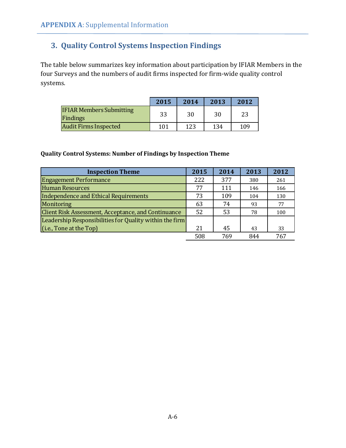## **3. Quality Control Systems Inspection Findings**

The table below summarizes key information about participation by IFIAR Members in the four Surveys and the numbers of audit firms inspected for firm-wide quality control systems.

|                                             | 2015 | 2014 | 2013 | 2012 |
|---------------------------------------------|------|------|------|------|
| <b>IFIAR Members Submitting</b><br>Findings | 33   | 30   | 30   | 23   |
| <b>Audit Firms Inspected</b>                | 101  | 123  | 134  | 109  |

#### **Quality Control Systems: Number of Findings by Inspection Theme**

| <b>Inspection Theme</b>                                    | 2015 | 2014 | 2013 | 2012 |
|------------------------------------------------------------|------|------|------|------|
| <b>Engagement Performance</b>                              | 222  | 377  | 380  | 261  |
| <b>Human Resources</b>                                     | 77   | 111  | 146  | 166  |
| Independence and Ethical Requirements                      | 73   | 109  | 104  | 130  |
| Monitoring                                                 | 63   | 74   | 93   | 77   |
| <b>Client Risk Assessment, Acceptance, and Continuance</b> | 52   | 53   | 78   | 100  |
| Leadership Responsibilities for Quality within the firm    |      |      |      |      |
| $(i.e.,$ Tone at the Top)                                  | 21   | 45   | 43   | 33   |
|                                                            | 508  | 769  | 844  | 767  |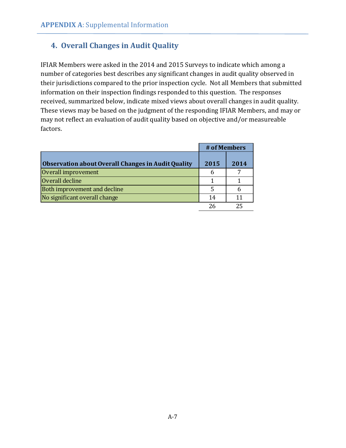## **4. Overall Changes in Audit Quality**

IFIAR Members were asked in the 2014 and 2015 Surveys to indicate which among a number of categories best describes any significant changes in audit quality observed in their jurisdictions compared to the prior inspection cycle. Not all Members that submitted information on their inspection findings responded to this question. The responses received, summarized below, indicate mixed views about overall changes in audit quality. These views may be based on the judgment of the responding IFIAR Members, and may or may not reflect an evaluation of audit quality based on objective and/or measureable factors.

|                                                           | # of Members |      |
|-----------------------------------------------------------|--------------|------|
| <b>Observation about Overall Changes in Audit Quality</b> | 2015         | 2014 |
| Overall improvement                                       | 6            |      |
| Overall decline                                           |              |      |
| Both improvement and decline                              | 5            | b    |
| No significant overall change                             | 14           | 11   |
|                                                           | 26           | 25   |
|                                                           |              |      |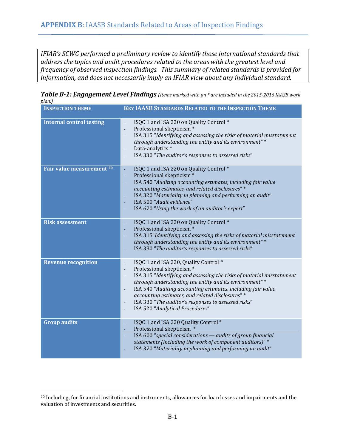*IFIAR's SCWG performed a preliminary review to identify those international standards that address the topics and audit procedures related to the areas with the greatest level and frequency of observed inspection findings. This summary of related standards is provided for information, and does not necessarily imply an IFIAR view about any individual standard.* 

*Table B-1: Engagement Level Findings (Items marked with an \* are included in the 2015-2016 IAASB work plan.)*

| <b>INSPECTION THEME</b>              | <b>KEY IAASB STANDARDS RELATED TO THE INSPECTION THEME</b>                                                                                                                                                                                                                                                                                                                                                                                                                                                                               |
|--------------------------------------|------------------------------------------------------------------------------------------------------------------------------------------------------------------------------------------------------------------------------------------------------------------------------------------------------------------------------------------------------------------------------------------------------------------------------------------------------------------------------------------------------------------------------------------|
| <b>Internal control testing</b>      | ISQC 1 and ISA 220 on Quality Control *<br>$\overline{\phantom{0}}$<br>Professional skepticism*<br>$\overline{\phantom{m}}$<br>ISA 315 "Identifying and assessing the risks of material misstatement<br>$\overline{a}$<br>through understanding the entity and its environment"*<br>Data-analytics *<br>$\overline{a}$<br>ISA 330 "The auditor's responses to assessed risks"                                                                                                                                                            |
| Fair value measurement <sup>20</sup> | ISQC 1 and ISA 220 on Quality Control *<br>÷<br>Professional skepticism*<br>÷<br>ISA 540 "Auditing accounting estimates, including fair value<br>L,<br>accounting estimates, and related disclosures" *<br>ISA 320 "Materiality in planning and performing an audit"<br>÷,<br>ISA 500 "Audit evidence"<br>ISA 620 "Using the work of an auditor's expert"                                                                                                                                                                                |
| <b>Risk assessment</b>               | ISQC 1 and ISA 220 on Quality Control *<br>Professional skepticism*<br>ISA 315"Identifying and assessing the risks of material misstatement<br>through understanding the entity and its environment"*<br>ISA 330 "The auditor's responses to assessed risks"                                                                                                                                                                                                                                                                             |
| <b>Revenue recognition</b>           | ISQC 1 and ISA 220, Quality Control *<br>$\overline{\phantom{a}}$<br>Professional skepticism*<br>÷,<br>ISA 315 "Identifying and assessing the risks of material misstatement<br>through understanding the entity and its environment"*<br>ISA 540 "Auditing accounting estimates, including fair value<br>$\overline{\phantom{a}}$<br>accounting estimates, and related disclosures" *<br>ISA 330 "The auditor's responses to assessed risks"<br>$\overline{\phantom{a}}$<br>ISA 520 "Analytical Procedures"<br>$\overline{\phantom{a}}$ |
| <b>Group audits</b>                  | ISQC 1 and ISA 220 Quality Control *<br>Professional skepticism *<br>ISA 600 "special considerations $-$ audits of group financial<br>statements (including the work of component auditors)" *<br>ISA 320 "Materiality in planning and performing an audit"                                                                                                                                                                                                                                                                              |

 $\overline{\phantom{a}}$ 

<sup>20</sup> Including, for financial institutions and instruments, allowances for loan losses and impairments and the valuation of investments and securities.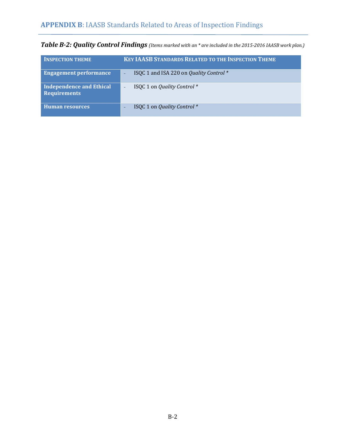| <b>INSPECTION THEME</b>                         | <b>KEY IAASB STANDARDS RELATED TO THE INSPECTION THEME</b> |
|-------------------------------------------------|------------------------------------------------------------|
| <b>Engagement performance</b>                   | ISQC 1 and ISA 220 on Quality Control *                    |
| Independence and Ethical<br><b>Requirements</b> | ISQC 1 on Quality Control *                                |
| <b>Human resources</b>                          | ISQC 1 on Quality Control *                                |

*Table B-2: Quality Control Findings (Items marked with an \* are included in the 2015-2016 IAASB work plan.)*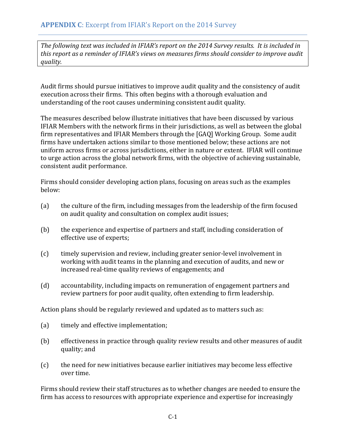*The following text was included in IFIAR's report on the 2014 Survey results. It is included in this report as a reminder of IFIAR's views on measures firms should consider to improve audit quality.* 

Audit firms should pursue initiatives to improve audit quality and the consistency of audit execution across their firms. This often begins with a thorough evaluation and understanding of the root causes undermining consistent audit quality.

The measures described below illustrate initiatives that have been discussed by various IFIAR Members with the network firms in their jurisdictions, as well as between the global firm representatives and IFIAR Members through the [GAQ] Working Group. Some audit firms have undertaken actions similar to those mentioned below; these actions are not uniform across firms or across jurisdictions, either in nature or extent. IFIAR will continue to urge action across the global network firms, with the objective of achieving sustainable, consistent audit performance.

Firms should consider developing action plans, focusing on areas such as the examples below:

- (a) the culture of the firm, including messages from the leadership of the firm focused on audit quality and consultation on complex audit issues;
- (b) the experience and expertise of partners and staff, including consideration of effective use of experts;
- (c) timely supervision and review, including greater senior-level involvement in working with audit teams in the planning and execution of audits, and new or increased real-time quality reviews of engagements; and
- (d) accountability, including impacts on remuneration of engagement partners and review partners for poor audit quality, often extending to firm leadership.

Action plans should be regularly reviewed and updated as to matters such as:

- (a) timely and effective implementation;
- (b) effectiveness in practice through quality review results and other measures of audit quality; and
- (c) the need for new initiatives because earlier initiatives may become less effective over time.

Firms should review their staff structures as to whether changes are needed to ensure the firm has access to resources with appropriate experience and expertise for increasingly